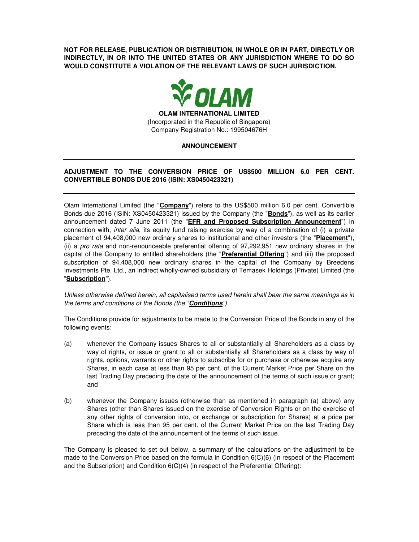**NOT FOR RELEASE, PUBLICATION OR DISTRIBUTION, IN WHOLE OR IN PART, DIRECTLY OR INDIRECTLY, IN OR INTO THE UNITED STATES OR ANY JURISDICTION WHERE TO DO SO WOULD CONSTITUTE A VIOLATION OF THE RELEVANT LAWS OF SUCH JURISDICTION.** 



# **ANNOUNCEMENT**

# **ADJUSTMENT TO THE CONVERSION PRICE OF US\$500 MILLION 6.0 PER CENT. CONVERTIBLE BONDS DUE 2016 (ISIN: XS0450423321)**

Olam International Limited (the "**Company**") refers to the US\$500 million 6.0 per cent. Convertible Bonds due 2016 (ISIN: XS0450423321) issued by the Company (the "**Bonds**"), as well as its earlier announcement dated 7 June 2011 (the "**EFR and Proposed Subscription Announcement**") in connection with, inter alia, its equity fund raising exercise by way of a combination of (i) a private placement of 94,408,000 new ordinary shares to institutional and other investors (the "**Placement**"), (ii) a pro rata and non-renounceable preferential offering of 97,292,951 new ordinary shares in the capital of the Company to entitled shareholders (the "**Preferential Offering**") and (iii) the proposed subscription of 94,408,000 new ordinary shares in the capital of the Company by Breedens Investments Pte. Ltd., an indirect wholly-owned subsidiary of Temasek Holdings (Private) Limited (the "**Subscription**").

Unless otherwise defined herein, all capitalised terms used herein shall bear the same meanings as in the terms and conditions of the Bonds (the "**Conditions**").

The Conditions provide for adjustments to be made to the Conversion Price of the Bonds in any of the following events:

- (a) whenever the Company issues Shares to all or substantially all Shareholders as a class by way of rights, or issue or grant to all or substantially all Shareholders as a class by way of rights, options, warrants or other rights to subscribe for or purchase or otherwise acquire any Shares, in each case at less than 95 per cent. of the Current Market Price per Share on the last Trading Day preceding the date of the announcement of the terms of such issue or grant; and
- (b) whenever the Company issues (otherwise than as mentioned in paragraph (a) above) any Shares (other than Shares issued on the exercise of Conversion Rights or on the exercise of any other rights of conversion into, or exchange or subscription for Shares) at a price per Share which is less than 95 per cent. of the Current Market Price on the last Trading Day preceding the date of the announcement of the terms of such issue.

The Company is pleased to set out below, a summary of the calculations on the adjustment to be made to the Conversion Price based on the formula in Condition 6(C)(6) (in respect of the Placement and the Subscription) and Condition 6(C)(4) (in respect of the Preferential Offering):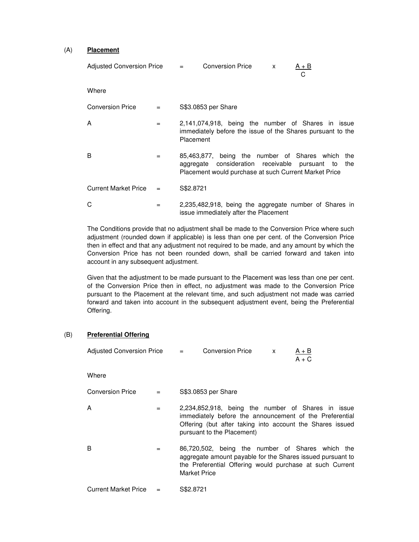#### (A) **Placement**

| Adjusted Conversion Price = |     |           | <b>Conversion Price</b>                                                                                                                     | X | A + B<br>С                   |
|-----------------------------|-----|-----------|---------------------------------------------------------------------------------------------------------------------------------------------|---|------------------------------|
| Where                       |     |           |                                                                                                                                             |   |                              |
| <b>Conversion Price</b>     |     |           | S\$3.0853 per Share                                                                                                                         |   |                              |
| A                           | $=$ | Placement | 2,141,074,918, being the number of Shares in issue<br>immediately before the issue of the Shares pursuant to the                            |   |                              |
| B                           | $=$ |           | 85,463,877, being the number of Shares which<br>aggregate consideration receivable<br>Placement would purchase at such Current Market Price |   | the<br>pursuant<br>the<br>to |
| <b>Current Market Price</b> |     | S\$2,8721 |                                                                                                                                             |   |                              |
| С                           |     |           | 2,235,482,918, being the aggregate number of Shares in                                                                                      |   |                              |

The Conditions provide that no adjustment shall be made to the Conversion Price where such adjustment (rounded down if applicable) is less than one per cent. of the Conversion Price then in effect and that any adjustment not required to be made, and any amount by which the Conversion Price has not been rounded down, shall be carried forward and taken into account in any subsequent adjustment.

issue immediately after the Placement

Given that the adjustment to be made pursuant to the Placement was less than one per cent. of the Conversion Price then in effect, no adjustment was made to the Conversion Price pursuant to the Placement at the relevant time, and such adjustment not made was carried forward and taken into account in the subsequent adjustment event, being the Preferential Offering.

# (B) **Preferential Offering**

| Adjusted Conversion Price = |     | <b>Conversion Price</b><br>$A + B$<br>$\mathsf{x}$<br>$A + C$                                                                                                                                            |
|-----------------------------|-----|----------------------------------------------------------------------------------------------------------------------------------------------------------------------------------------------------------|
| Where                       |     |                                                                                                                                                                                                          |
| <b>Conversion Price</b>     | $=$ | S\$3.0853 per Share                                                                                                                                                                                      |
| A                           | $=$ | 2,234,852,918, being the number of Shares in issue<br>immediately before the announcement of the Preferential<br>Offering (but after taking into account the Shares issued<br>pursuant to the Placement) |
| B                           | $=$ | 86,720,502, being the number of Shares which the<br>aggregate amount payable for the Shares issued pursuant to<br>the Preferential Offering would purchase at such Current<br><b>Market Price</b>        |
| <b>Current Market Price</b> | $=$ | S\$2,8721                                                                                                                                                                                                |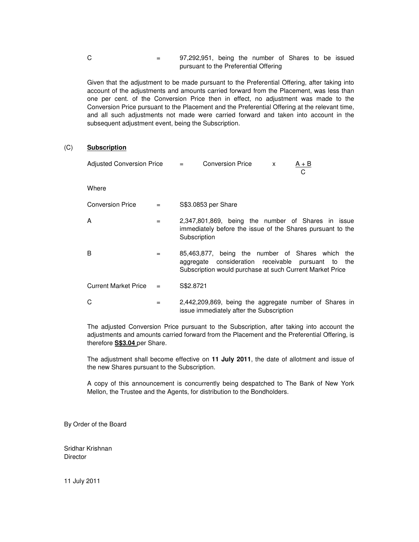$C = 97,292,951$ , being the number of Shares to be issued pursuant to the Preferential Offering

Given that the adjustment to be made pursuant to the Preferential Offering, after taking into account of the adjustments and amounts carried forward from the Placement, was less than one per cent. of the Conversion Price then in effect, no adjustment was made to the Conversion Price pursuant to the Placement and the Preferential Offering at the relevant time, and all such adjustments not made were carried forward and taken into account in the subsequent adjustment event, being the Subscription.

### (C) **Subscription**

| <b>Adjusted Conversion Price</b> |     | <b>Conversion Price</b><br>$A + B$<br>$\equiv$ 100 $\pm$<br>$\mathsf{x}$<br>С                                                                                            |
|----------------------------------|-----|--------------------------------------------------------------------------------------------------------------------------------------------------------------------------|
| Where                            |     |                                                                                                                                                                          |
| <b>Conversion Price</b>          | $=$ | S\$3.0853 per Share                                                                                                                                                      |
| A                                | $=$ | 2,347,801,869, being the number of Shares in issue<br>immediately before the issue of the Shares pursuant to the<br>Subscription                                         |
| B                                | $=$ | 85,463,877, being the number of Shares which<br>the<br>aggregate consideration receivable pursuant to<br>the<br>Subscription would purchase at such Current Market Price |
| <b>Current Market Price</b>      | $=$ | S\$2.8721                                                                                                                                                                |
| С                                | $=$ | 2,442,209,869, being the aggregate number of Shares in<br>issue immediately after the Subscription                                                                       |

The adjusted Conversion Price pursuant to the Subscription, after taking into account the adjustments and amounts carried forward from the Placement and the Preferential Offering, is therefore **S\$3.04** per Share.

The adjustment shall become effective on **11 July 2011**, the date of allotment and issue of the new Shares pursuant to the Subscription.

A copy of this announcement is concurrently being despatched to The Bank of New York Mellon, the Trustee and the Agents, for distribution to the Bondholders.

By Order of the Board

Sridhar Krishnan **Director** 

11 July 2011